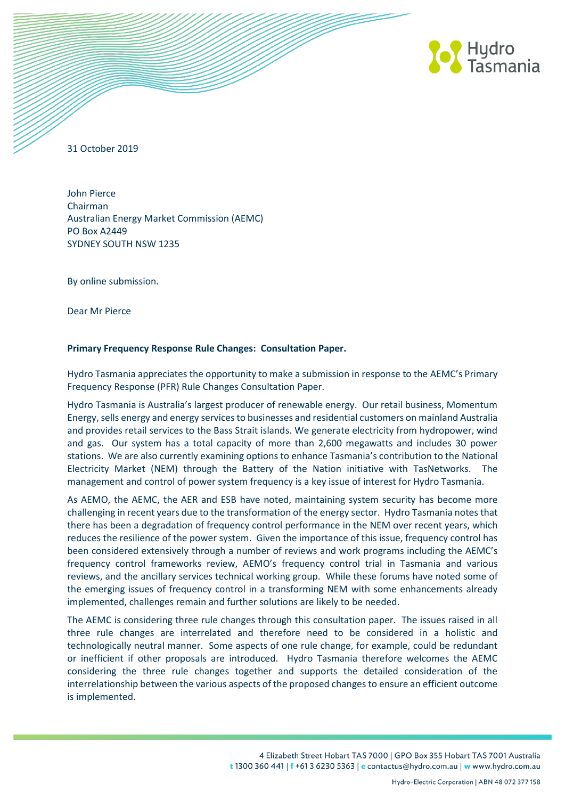

31 October 2019

John Pierce Chairman Australian Energy Market Commission (AEMC) PO Box A2449 SYDNEY SOUTH NSW 1235

By online submission.

Dear Mr Pierce

## **Primary Frequency Response Rule Changes: Consultation Paper.**

Hydro Tasmania appreciates the opportunity to make a submission in response to the AEMC's Primary Frequency Response (PFR) Rule Changes Consultation Paper.

Hydro Tasmania is Australia's largest producer of renewable energy. Our retail business, Momentum Energy, sells energy and energy services to businesses and residential customers on mainland Australia and provides retail services to the Bass Strait islands. We generate electricity from hydropower, wind and gas. Our system has a total capacity of more than 2,600 megawatts and includes 30 power stations. We are also currently examining options to enhance Tasmania's contribution to the National Electricity Market (NEM) through the Battery of the Nation initiative with TasNetworks. The management and control of power system frequency is a key issue of interest for Hydro Tasmania.

As AEMO, the AEMC, the AER and ESB have noted, maintaining system security has become more challenging in recent years due to the transformation of the energy sector. Hydro Tasmania notes that there has been a degradation of frequency control performance in the NEM over recent years, which reduces the resilience of the power system. Given the importance of this issue, frequency control has been considered extensively through a number of reviews and work programs including the AEMC's frequency control frameworks review, AEMO's frequency control trial in Tasmania and various reviews, and the ancillary services technical working group. While these forums have noted some of the emerging issues of frequency control in a transforming NEM with some enhancements already implemented, challenges remain and further solutions are likely to be needed.

The AEMC is considering three rule changes through this consultation paper. The issues raised in all three rule changes are interrelated and therefore need to be considered in a holistic and technologically neutral manner. Some aspects of one rule change, for example, could be redundant or inefficient if other proposals are introduced. Hydro Tasmania therefore welcomes the AEMC considering the three rule changes together and supports the detailed consideration of the interrelationship between the various aspects of the proposed changes to ensure an efficient outcome is implemented.

> 4 Elizabeth Street Hobart TAS 7000 | GPO Box 355 Hobart TAS 7001 Australia t 1300 360 441 | f +61 3 6230 5363 | e contactus@hydro.com.au | w www.hydro.com.au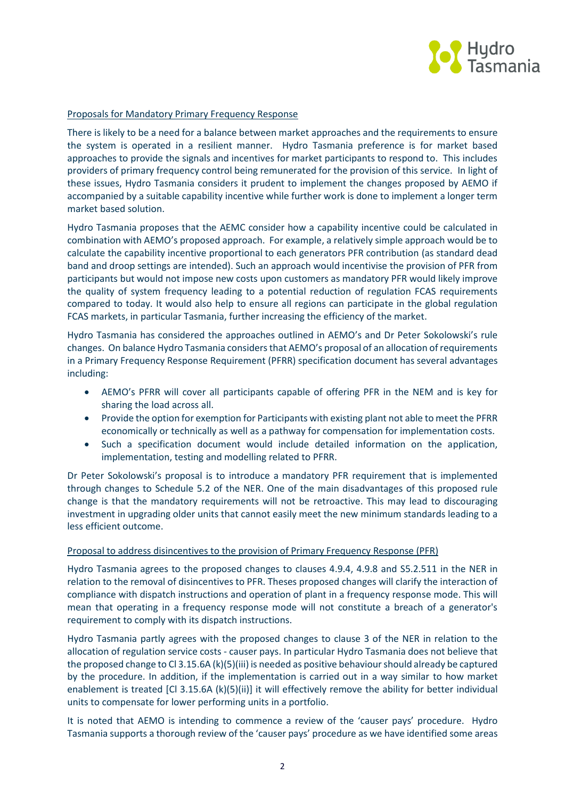

## Proposals for Mandatory Primary Frequency Response

There is likely to be a need for a balance between market approaches and the requirements to ensure the system is operated in a resilient manner. Hydro Tasmania preference is for market based approaches to provide the signals and incentives for market participants to respond to. This includes providers of primary frequency control being remunerated for the provision of this service. In light of these issues, Hydro Tasmania considers it prudent to implement the changes proposed by AEMO if accompanied by a suitable capability incentive while further work is done to implement a longer term market based solution.

Hydro Tasmania proposes that the AEMC consider how a capability incentive could be calculated in combination with AEMO's proposed approach. For example, a relatively simple approach would be to calculate the capability incentive proportional to each generators PFR contribution (as standard dead band and droop settings are intended). Such an approach would incentivise the provision of PFR from participants but would not impose new costs upon customers as mandatory PFR would likely improve the quality of system frequency leading to a potential reduction of regulation FCAS requirements compared to today. It would also help to ensure all regions can participate in the global regulation FCAS markets, in particular Tasmania, further increasing the efficiency of the market.

Hydro Tasmania has considered the approaches outlined in AEMO's and Dr Peter Sokolowski's rule changes. On balance Hydro Tasmania considers that AEMO's proposal of an allocation of requirements in a Primary Frequency Response Requirement (PFRR) specification document has several advantages including:

- AEMO's PFRR will cover all participants capable of offering PFR in the NEM and is key for sharing the load across all.
- Provide the option for exemption for Participants with existing plant not able to meet the PFRR economically or technically as well as a pathway for compensation for implementation costs.
- Such a specification document would include detailed information on the application, implementation, testing and modelling related to PFRR.

Dr Peter Sokolowski's proposal is to introduce a mandatory PFR requirement that is implemented through changes to Schedule 5.2 of the NER. One of the main disadvantages of this proposed rule change is that the mandatory requirements will not be retroactive. This may lead to discouraging investment in upgrading older units that cannot easily meet the new minimum standards leading to a less efficient outcome.

## Proposal to address disincentives to the provision of Primary Frequency Response (PFR)

Hydro Tasmania agrees to the proposed changes to clauses 4.9.4, 4.9.8 and S5.2.511 in the NER in relation to the removal of disincentives to PFR. Theses proposed changes will clarify the interaction of compliance with dispatch instructions and operation of plant in a frequency response mode. This will mean that operating in a frequency response mode will not constitute a breach of a generator's requirement to comply with its dispatch instructions.

Hydro Tasmania partly agrees with the proposed changes to clause 3 of the NER in relation to the allocation of regulation service costs - causer pays. In particular Hydro Tasmania does not believe that the proposed change to Cl 3.15.6A (k)(5)(iii) is needed as positive behaviour should already be captured by the procedure. In addition, if the implementation is carried out in a way similar to how market enablement is treated [Cl 3.15.6A (k)(5)(ii)] it will effectively remove the ability for better individual units to compensate for lower performing units in a portfolio.

It is noted that AEMO is intending to commence a review of the 'causer pays' procedure. Hydro Tasmania supports a thorough review of the 'causer pays' procedure as we have identified some areas